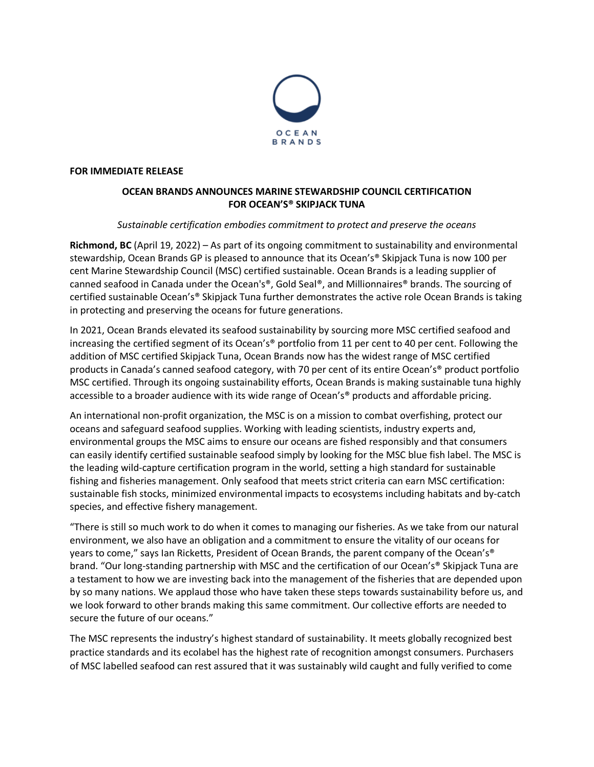

## **FOR IMMEDIATE RELEASE**

# **OCEAN BRANDS ANNOUNCES MARINE STEWARDSHIP COUNCIL CERTIFICATION FOR OCEAN'S® SKIPJACK TUNA**

# *Sustainable certification embodies commitment to protect and preserve the oceans*

**Richmond, BC** (April 19, 2022) – As part of its ongoing commitment to sustainability and environmental stewardship, Ocean Brands GP is pleased to announce that its Ocean's® Skipjack Tuna is now 100 per cent Marine Stewardship Council (MSC) certified sustainable. Ocean Brands is a leading supplier of canned seafood in Canada under the Ocean's®, Gold Seal®, and Millionnaires® brands. The sourcing of certified sustainable Ocean's® Skipjack Tuna further demonstrates the active role Ocean Brands is taking in protecting and preserving the oceans for future generations.

In 2021, Ocean Brands elevated its seafood sustainability by sourcing more MSC certified seafood and increasing the certified segment of its Ocean's® portfolio from 11 per cent to 40 per cent. Following the addition of MSC certified Skipjack Tuna, Ocean Brands now has the widest range of MSC certified products in Canada's canned seafood category, with 70 per cent of its entire Ocean's® product portfolio MSC certified. Through its ongoing sustainability efforts, Ocean Brands is making sustainable tuna highly accessible to a broader audience with its wide range of Ocean's® products and affordable pricing.

An international non-profit organization, the MSC is on a mission to combat overfishing, protect our oceans and safeguard seafood supplies. Working with leading scientists, industry experts and, environmental groups the MSC aims to ensure our oceans are fished responsibly and that consumers can easily identify certified sustainable seafood simply by looking for the MSC blue fish label. The MSC is the leading wild-capture certification program in the world, setting a high standard for sustainable fishing and fisheries management. Only seafood that meets strict criteria can earn MSC certification: sustainable fish stocks, minimized environmental impacts to ecosystems including habitats and by-catch species, and effective fishery management.

"There is still so much work to do when it comes to managing our fisheries. As we take from our natural environment, we also have an obligation and a commitment to ensure the vitality of our oceans for years to come," says [Ian](https://twitter.com/invoker) Ricketts, President of Ocean Brands, the parent company of the Ocean's® brand. "Our long-standing partnership with MSC and the certification of our Ocean's® Skipjack Tuna are a testament to how we are investing back into the management of the fisheries that are depended upon by so many nations. We applaud those who have taken these steps towards sustainability before us, and we look forward to other brands making this same commitment. Our collective efforts are needed to secure the future of our oceans."

The MSC represents the industry's highest standard of sustainability. It meets globally recognized best practice standards and its ecolabel has the highest rate of recognition amongst consumers. Purchasers of MSC labelled seafood can rest assured that it was sustainably wild caught and fully verified to come